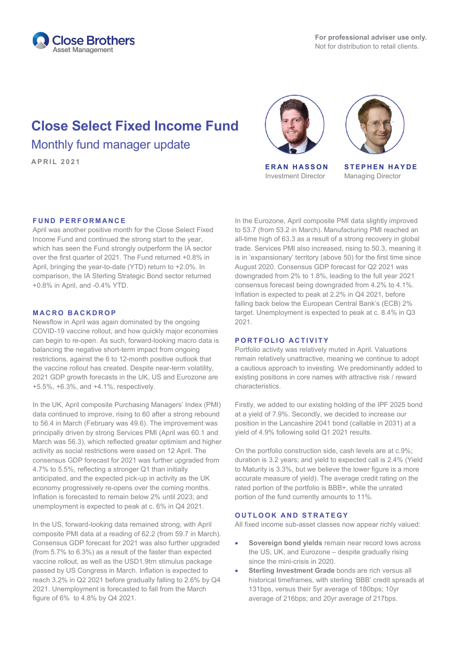

# **Close Select Fixed Income Fund** Monthly fund manager update

**APRIL <sup>2021</sup> ERAN HASSON**



Investment Director



**STEPHEN HAYDE** Managing Director

### **FUND PERFORMANCE**

April was another positive month for the Close Select Fixed Income Fund and continued the strong start to the year, which has seen the Fund strongly outperform the IA sector over the first quarter of 2021. The Fund returned +0.8% in April, bringing the year-to-date (YTD) return to +2.0%. In comparison, the IA Sterling Strategic Bond sector returned +0.8% in April, and -0.4% YTD.

#### **MACRO BACKDROP**

Newsflow in April was again dominated by the ongoing COVID-19 vaccine rollout, and how quickly major economies can begin to re-open. As such, forward-looking macro data is balancing the negative short-term impact from ongoing restrictions, against the 6 to 12-month positive outlook that the vaccine rollout has created. Despite near-term volatility, 2021 GDP growth forecasts in the UK, US and Eurozone are +5.5%, +6.3%, and +4.1%, respectively.

In the UK, April composite Purchasing Managers' Index (PMI) data continued to improve, rising to 60 after a strong rebound to 56.4 in March (February was 49.6). The improvement was principally driven by strong Services PMI (April was 60.1 and March was 56.3), which reflected greater optimism and higher activity as social restrictions were eased on 12 April. The consensus GDP forecast for 2021 was further upgraded from 4.7% to 5.5%, reflecting a stronger Q1 than initially anticipated, and the expected pick-up in activity as the UK economy progressively re-opens over the coming months. Inflation is forecasted to remain below 2% until 2023; and unemployment is expected to peak at c. 6% in Q4 2021.

In the US, forward-looking data remained strong, with April composite PMI data at a reading of 62.2 (from 59.7 in March). Consensus GDP forecast for 2021 was also further upgraded (from 5.7% to 6.3%) as a result of the faster than expected vaccine rollout, as well as the USD1.9trn stimulus package passed by US Congress in March. Inflation is expected to reach 3.2% in Q2 2021 before gradually falling to 2.6% by Q4 2021. Unemployment is forecasted to fall from the March figure of 6% to 4.8% by Q4 2021.

In the Eurozone, April composite PMI data slightly improved to 53.7 (from 53.2 in March). Manufacturing PMI reached an all-time high of 63.3 as a result of a strong recovery in global trade. Services PMI also increased, rising to 50.3, meaning it is in 'expansionary' territory (above 50) for the first time since August 2020. Consensus GDP forecast for Q2 2021 was downgraded from 2% to 1.8%, leading to the full year 2021 consensus forecast being downgraded from 4.2% to 4.1%. Inflation is expected to peak at 2.2% in Q4 2021, before falling back below the European Central Bank's (ECB) 2% target. Unemployment is expected to peak at c. 8.4% in Q3 2021.

#### **PORTFOLIO ACTIVITY**

Portfolio activity was relatively muted in April. Valuations remain relatively unattractive, meaning we continue to adopt a cautious approach to investing. We predominantly added to existing positions in core names with attractive risk / reward characteristics.

Firstly, we added to our existing holding of the IPF 2025 bond at a yield of 7.9%. Secondly, we decided to increase our position in the Lancashire 2041 bond (callable in 2031) at a yield of 4.9% following solid Q1 2021 results.

On the portfolio construction side, cash levels are at c.9%; duration is 3.2 years; and yield to expected call is 2.4% (Yield to Maturity is 3.3%, but we believe the lower figure is a more accurate measure of yield). The average credit rating on the rated portion of the portfolio is BBB+, while the unrated portion of the fund currently amounts to 11%.

### **OUTLOOK AND STRATEGY**

All fixed income sub-asset classes now appear richly valued:

- **Sovereign bond yields** remain near record lows across the US, UK, and Eurozone – despite gradually rising since the mini-crisis in 2020.
- **Sterling Investment Grade** bonds are rich versus all historical timeframes, with sterling 'BBB' credit spreads at 131bps, versus their 5yr average of 180bps; 10yr average of 216bps; and 20yr average of 217bps.